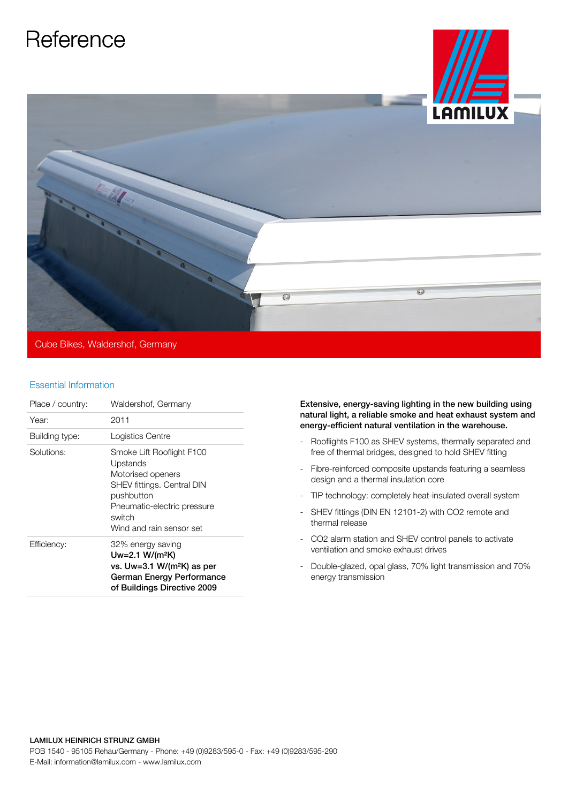## **Reference**



Cube Bikes, Waldershof, Germany

## Essential Information

| Place / country: | Waldershof, Germany                                                                                                                                                         |
|------------------|-----------------------------------------------------------------------------------------------------------------------------------------------------------------------------|
| Year:            | 2011                                                                                                                                                                        |
| Building type:   | Logistics Centre                                                                                                                                                            |
| Solutions:       | Smoke Lift Rooflight F100<br>Upstands<br>Motorised openers<br>SHEV fittings. Central DIN<br>pushbutton<br>Pneumatic-electric pressure<br>switch<br>Wind and rain sensor set |
| Efficiency:      | 32% energy saving<br>$Uw = 2.1 W/(m^2K)$<br>vs. Uw=3.1 W/(m <sup>2</sup> K) as per<br>German Energy Performance<br>of Buildings Directive 2009                              |

Extensive, energy-saving lighting in the new building using natural light, a reliable smoke and heat exhaust system and energy-efficient natural ventilation in the warehouse.

- Rooflights F100 as SHEV systems, thermally separated and free of thermal bridges, designed to hold SHEV fitting
- Fibre-reinforced composite upstands featuring a seamless design and a thermal insulation core
- TIP technology: completely heat-insulated overall system
- SHEV fittings (DIN EN 12101-2) with CO2 remote and thermal release
- CO2 alarm station and SHEV control panels to activate ventilation and smoke exhaust drives
- Double-glazed, opal glass, 70% light transmission and 70% energy transmission